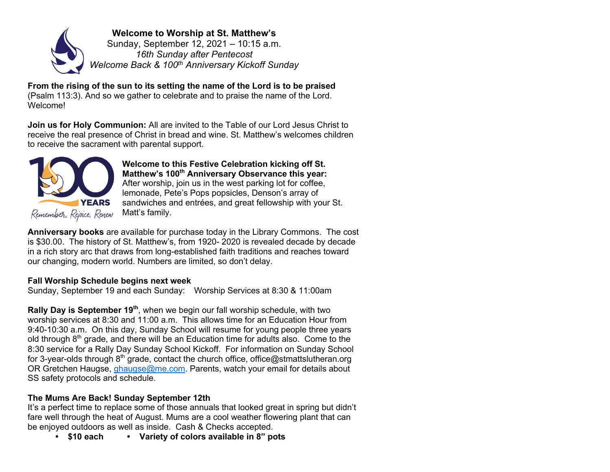

**Welcome to Worship at St. Matthew's** Sunday, September 12, 2021 – 10:15 a.m. *16th Sunday after Pentecost Welcome Back & 100th Anniversary Kickoff Sunday*

**From the rising of the sun to its setting the name of the Lord is to be praised**  (Psalm 113:3). And so we gather to celebrate and to praise the name of the Lord. Welcome!

**Join us for Holy Communion:** All are invited to the Table of our Lord Jesus Christ to receive the real presence of Christ in bread and wine. St. Matthew's welcomes children to receive the sacrament with parental support.



**Welcome to this Festive Celebration kicking off St. Matthew's 100<sup>th</sup> Anniversary Observance this year:** After worship, join us in the west parking lot for coffee, lemonade, Pete's Pops popsicles, Denson's array of sandwiches and entrées, and great fellowship with your St. Matt's family.

**Anniversary books** are available for purchase today in the Library Commons. The cost is \$30.00. The history of St. Matthew's, from 1920- 2020 is revealed decade by decade in a rich story arc that draws from long-established faith traditions and reaches toward our changing, modern world. Numbers are limited, so don't delay.

## **Fall Worship Schedule begins next week**

Sunday, September 19 and each Sunday: Worship Services at 8:30 & 11:00am

**Rally Day is September 19<sup>th</sup>**, when we begin our fall worship schedule, with two worship services at 8:30 and 11:00 a.m. This allows time for an Education Hour from 9:40-10:30 a.m. On this day, Sunday School will resume for young people three years old through 8<sup>th</sup> grade, and there will be an Education time for adults also. Come to the 8:30 service for a Rally Day Sunday School Kickoff. For information on Sunday School for 3-year-olds through  $8<sup>th</sup>$  grade, contact the church office, office@stmattslutheran.org OR Gretchen Haugse, ghaugse@me.com. Parents, watch your email for details about SS safety protocols and schedule.

# **The Mums Are Back! Sunday September 12th**

It's a perfect time to replace some of those annuals that looked great in spring but didn't fare well through the heat of August. Mums are a cool weather flowering plant that can be enjoyed outdoors as well as inside. Cash & Checks accepted.

**• \$10 each • Variety of colors available in 8" pots**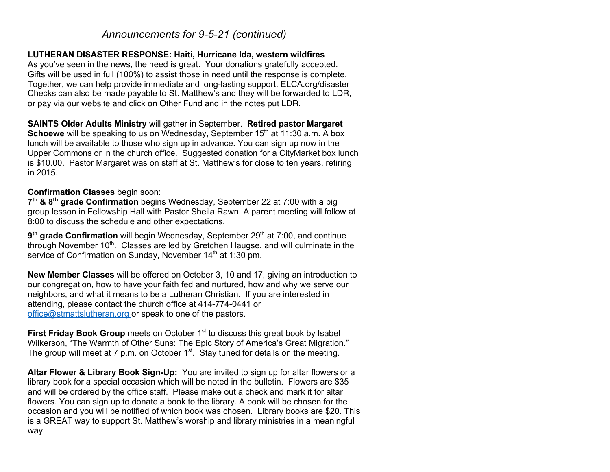# *Announcements for 9-5-21 (continued)*

#### **LUTHERAN DISASTER RESPONSE: Haiti, Hurricane Ida, western wildfires**

As you've seen in the news, the need is great. Your donations gratefully accepted. Gifts will be used in full (100%) to assist those in need until the response is complete. Together, we can help provide immediate and long-lasting support. ELCA.org/disaster Checks can also be made payable to St. Matthew's and they will be forwarded to LDR, or pay via our website and click on Other Fund and in the notes put LDR.

**SAINTS Older Adults Ministry** will gather in September. **Retired pastor Margaret Schoewe** will be speaking to us on Wednesday, September 15<sup>th</sup> at 11:30 a.m. A box lunch will be available to those who sign up in advance. You can sign up now in the Upper Commons or in the church office. Suggested donation for a CityMarket box lunch is \$10.00. Pastor Margaret was on staff at St. Matthew's for close to ten years, retiring in 2015.

#### **Confirmation Classes** begin soon:

7<sup>th</sup> & 8<sup>th</sup> **grade Confirmation** begins Wednesday, September 22 at 7:00 with a big group lesson in Fellowship Hall with Pastor Sheila Rawn. A parent meeting will follow at 8:00 to discuss the schedule and other expectations.

9<sup>th</sup> grade Confirmation will begin Wednesday, September 29<sup>th</sup> at 7:00, and continue through November 10<sup>th</sup>. Classes are led by Gretchen Haugse, and will culminate in the service of Confirmation on Sunday, November 14<sup>th</sup> at 1:30 pm.

**New Member Classes** will be offered on October 3, 10 and 17, giving an introduction to our congregation, how to have your faith fed and nurtured, how and why we serve our neighbors, and what it means to be a Lutheran Christian. If you are interested in attending, please contact the church office at 414-774-0441 or office@stmattslutheran.org or speak to one of the pastors.

**First Friday Book Group** meets on October 1<sup>st</sup> to discuss this great book by Isabel Wilkerson, "The Warmth of Other Suns: The Epic Story of America's Great Migration." The group will meet at 7 p.m. on October  $1<sup>st</sup>$ . Stay tuned for details on the meeting.

**Altar Flower & Library Book Sign-Up:** You are invited to sign up for altar flowers or a library book for a special occasion which will be noted in the bulletin. Flowers are \$35 and will be ordered by the office staff. Please make out a check and mark it for altar flowers. You can sign up to donate a book to the library. A book will be chosen for the occasion and you will be notified of which book was chosen. Library books are \$20. This is a GREAT way to support St. Matthew's worship and library ministries in a meaningful way.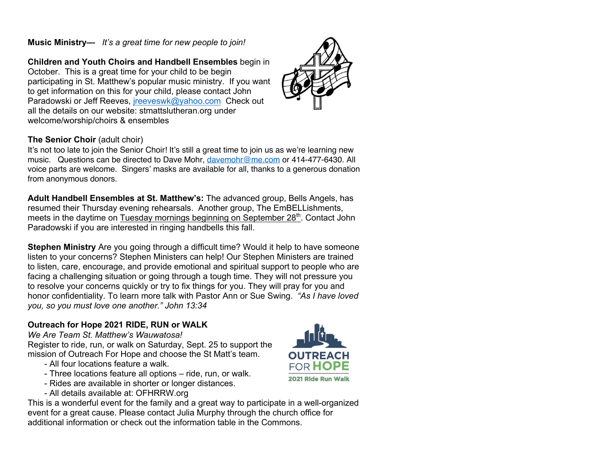# **Music Ministry—** *It's a great time for new people to join!*

**Children and Youth Choirs and Handbell Ensembles** begin in October. This is a great time for your child to be begin participating in St. Matthew's popular music ministry. If you want to get information on this for your child, please contact John Paradowski or Jeff Reeves, *ireeveswk@yahoo.com* Check out all the details on our website: stmattslutheran.org under welcome/worship/choirs & ensembles

# **The Senior Choir** (adult choir)

It's not too late to join the Senior Choir! It's still a great time to join us as we're learning new music. Questions can be directed to Dave Mohr, davemohr@me.com or 414-477-6430. All voice parts are welcome. Singers' masks are available for all, thanks to a generous donation from anonymous donors.

**Adult Handbell Ensembles at St. Matthew's:** The advanced group, Bells Angels, has resumed their Thursday evening rehearsals. Another group, The EmBELLishments, meets in the daytime on Tuesday mornings beginning on September  $28<sup>th</sup>$ . Contact John Paradowski if you are interested in ringing handbells this fall.

**Stephen Ministry** Are you going through a difficult time? Would it help to have someone listen to your concerns? Stephen Ministers can help! Our Stephen Ministers are trained to listen, care, encourage, and provide emotional and spiritual support to people who are facing a challenging situation or going through a tough time. They will not pressure you to resolve your concerns quickly or try to fix things for you. They will pray for you and honor confidentiality. To learn more talk with Pastor Ann or Sue Swing. *"As I have loved you, so you must love one another." John 13:34*

# **Outreach for Hope 2021 RIDE, RUN or WALK**

*We Are Team St. Matthew's Wauwatosa!* Register to ride, run, or walk on Saturday, Sept. 25 to support the mission of Outreach For Hope and choose the St Matt's team.

- All four locations feature a walk.
- Three locations feature all options ride, run, or walk.
- Rides are available in shorter or longer distances.
- All details available at: OFHRRW.org

This is a wonderful event for the family and a great way to participate in a well-organized event for a great cause. Please contact Julia Murphy through the church office for additional information or check out the information table in the Commons.